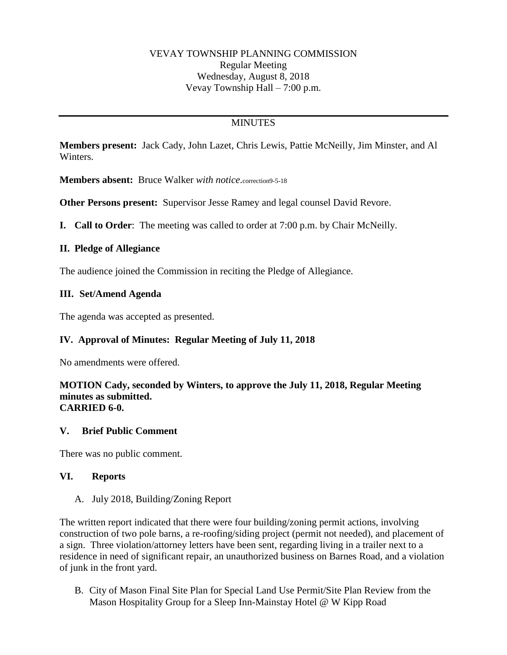### VEVAY TOWNSHIP PLANNING COMMISSION Regular Meeting Wednesday, August 8, 2018 Vevay Township Hall – 7:00 p.m.

# **MINUTES**

**Members present:** Jack Cady, John Lazet, Chris Lewis, Pattie McNeilly, Jim Minster, and Al Winters.

**Members absent:** Bruce Walker *with notice*.correction9-5-18

**Other Persons present:** Supervisor Jesse Ramey and legal counsel David Revore.

**I. Call to Order**: The meeting was called to order at 7:00 p.m. by Chair McNeilly.

### **II. Pledge of Allegiance**

The audience joined the Commission in reciting the Pledge of Allegiance.

### **III. Set/Amend Agenda**

The agenda was accepted as presented.

## **IV. Approval of Minutes: Regular Meeting of July 11, 2018**

No amendments were offered.

#### **MOTION Cady, seconded by Winters, to approve the July 11, 2018, Regular Meeting minutes as submitted. CARRIED 6-0.**

### **V. Brief Public Comment**

There was no public comment.

### **VI. Reports**

### A. July 2018, Building/Zoning Report

The written report indicated that there were four building/zoning permit actions, involving construction of two pole barns, a re-roofing/siding project (permit not needed), and placement of a sign. Three violation/attorney letters have been sent, regarding living in a trailer next to a residence in need of significant repair, an unauthorized business on Barnes Road, and a violation of junk in the front yard.

B. City of Mason Final Site Plan for Special Land Use Permit/Site Plan Review from the Mason Hospitality Group for a Sleep Inn-Mainstay Hotel @ W Kipp Road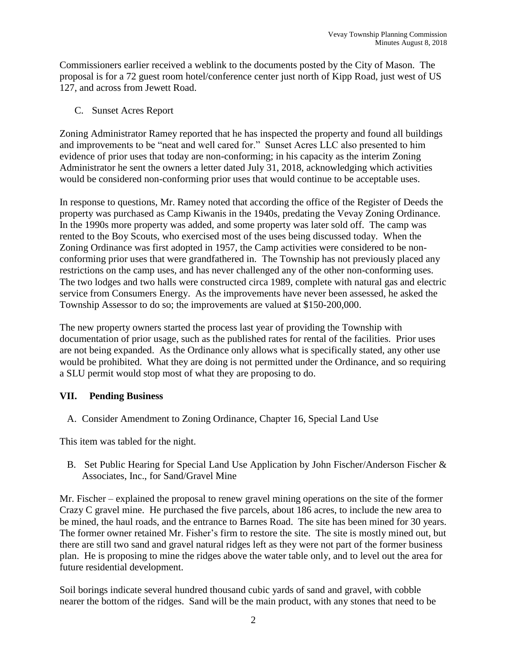Commissioners earlier received a weblink to the documents posted by the City of Mason. The proposal is for a 72 guest room hotel/conference center just north of Kipp Road, just west of US 127, and across from Jewett Road.

C. Sunset Acres Report

Zoning Administrator Ramey reported that he has inspected the property and found all buildings and improvements to be "neat and well cared for." Sunset Acres LLC also presented to him evidence of prior uses that today are non-conforming; in his capacity as the interim Zoning Administrator he sent the owners a letter dated July 31, 2018, acknowledging which activities would be considered non-conforming prior uses that would continue to be acceptable uses.

In response to questions, Mr. Ramey noted that according the office of the Register of Deeds the property was purchased as Camp Kiwanis in the 1940s, predating the Vevay Zoning Ordinance. In the 1990s more property was added, and some property was later sold off. The camp was rented to the Boy Scouts, who exercised most of the uses being discussed today. When the Zoning Ordinance was first adopted in 1957, the Camp activities were considered to be nonconforming prior uses that were grandfathered in. The Township has not previously placed any restrictions on the camp uses, and has never challenged any of the other non-conforming uses. The two lodges and two halls were constructed circa 1989, complete with natural gas and electric service from Consumers Energy. As the improvements have never been assessed, he asked the Township Assessor to do so; the improvements are valued at \$150-200,000.

The new property owners started the process last year of providing the Township with documentation of prior usage, such as the published rates for rental of the facilities. Prior uses are not being expanded. As the Ordinance only allows what is specifically stated, any other use would be prohibited. What they are doing is not permitted under the Ordinance, and so requiring a SLU permit would stop most of what they are proposing to do.

## **VII. Pending Business**

A. Consider Amendment to Zoning Ordinance, Chapter 16, Special Land Use

This item was tabled for the night.

B. Set Public Hearing for Special Land Use Application by John Fischer/Anderson Fischer & Associates, Inc., for Sand/Gravel Mine

Mr. Fischer – explained the proposal to renew gravel mining operations on the site of the former Crazy C gravel mine. He purchased the five parcels, about 186 acres, to include the new area to be mined, the haul roads, and the entrance to Barnes Road. The site has been mined for 30 years. The former owner retained Mr. Fisher's firm to restore the site. The site is mostly mined out, but there are still two sand and gravel natural ridges left as they were not part of the former business plan. He is proposing to mine the ridges above the water table only, and to level out the area for future residential development.

Soil borings indicate several hundred thousand cubic yards of sand and gravel, with cobble nearer the bottom of the ridges. Sand will be the main product, with any stones that need to be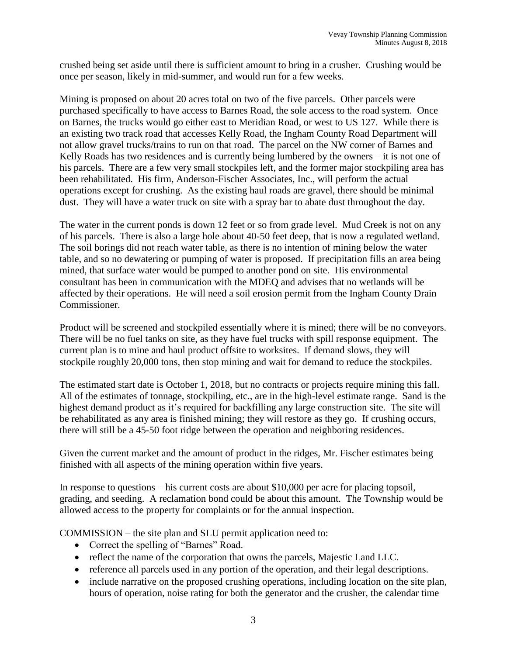crushed being set aside until there is sufficient amount to bring in a crusher. Crushing would be once per season, likely in mid-summer, and would run for a few weeks.

Mining is proposed on about 20 acres total on two of the five parcels. Other parcels were purchased specifically to have access to Barnes Road, the sole access to the road system. Once on Barnes, the trucks would go either east to Meridian Road, or west to US 127. While there is an existing two track road that accesses Kelly Road, the Ingham County Road Department will not allow gravel trucks/trains to run on that road. The parcel on the NW corner of Barnes and Kelly Roads has two residences and is currently being lumbered by the owners – it is not one of his parcels. There are a few very small stockpiles left, and the former major stockpiling area has been rehabilitated. His firm, Anderson-Fischer Associates, Inc., will perform the actual operations except for crushing. As the existing haul roads are gravel, there should be minimal dust. They will have a water truck on site with a spray bar to abate dust throughout the day.

The water in the current ponds is down 12 feet or so from grade level. Mud Creek is not on any of his parcels. There is also a large hole about 40-50 feet deep, that is now a regulated wetland. The soil borings did not reach water table, as there is no intention of mining below the water table, and so no dewatering or pumping of water is proposed. If precipitation fills an area being mined, that surface water would be pumped to another pond on site. His environmental consultant has been in communication with the MDEQ and advises that no wetlands will be affected by their operations. He will need a soil erosion permit from the Ingham County Drain Commissioner.

Product will be screened and stockpiled essentially where it is mined; there will be no conveyors. There will be no fuel tanks on site, as they have fuel trucks with spill response equipment. The current plan is to mine and haul product offsite to worksites. If demand slows, they will stockpile roughly 20,000 tons, then stop mining and wait for demand to reduce the stockpiles.

The estimated start date is October 1, 2018, but no contracts or projects require mining this fall. All of the estimates of tonnage, stockpiling, etc., are in the high-level estimate range. Sand is the highest demand product as it's required for backfilling any large construction site. The site will be rehabilitated as any area is finished mining; they will restore as they go. If crushing occurs, there will still be a 45-50 foot ridge between the operation and neighboring residences.

Given the current market and the amount of product in the ridges, Mr. Fischer estimates being finished with all aspects of the mining operation within five years.

In response to questions – his current costs are about \$10,000 per acre for placing topsoil, grading, and seeding. A reclamation bond could be about this amount. The Township would be allowed access to the property for complaints or for the annual inspection.

COMMISSION – the site plan and SLU permit application need to:

- Correct the spelling of "Barnes" Road.
- reflect the name of the corporation that owns the parcels, Majestic Land LLC.
- reference all parcels used in any portion of the operation, and their legal descriptions.
- include narrative on the proposed crushing operations, including location on the site plan, hours of operation, noise rating for both the generator and the crusher, the calendar time